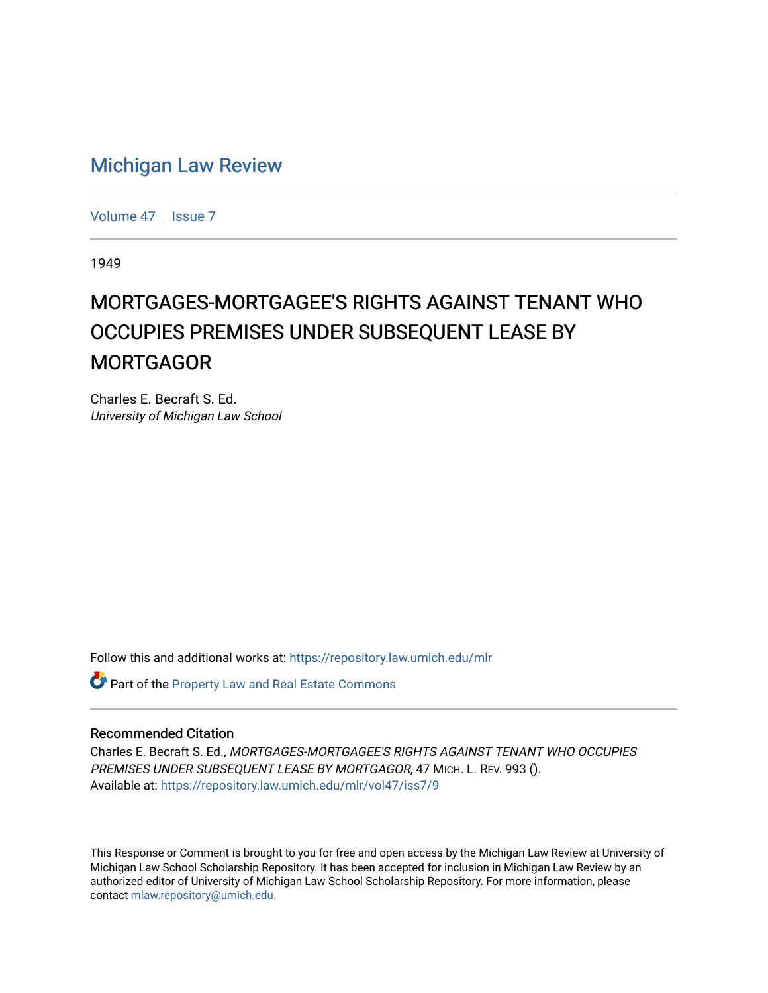# [Michigan Law Review](https://repository.law.umich.edu/mlr)

[Volume 47](https://repository.law.umich.edu/mlr/vol47) | [Issue 7](https://repository.law.umich.edu/mlr/vol47/iss7)

1949

# MORTGAGES-MORTGAGEE'S RIGHTS AGAINST TENANT WHO OCCUPIES PREMISES UNDER SUBSEQUENT LEASE BY **MORTGAGOR**

Charles E. Becraft S. Ed. University of Michigan Law School

Follow this and additional works at: [https://repository.law.umich.edu/mlr](https://repository.law.umich.edu/mlr?utm_source=repository.law.umich.edu%2Fmlr%2Fvol47%2Fiss7%2F9&utm_medium=PDF&utm_campaign=PDFCoverPages) 

Part of the [Property Law and Real Estate Commons](http://network.bepress.com/hgg/discipline/897?utm_source=repository.law.umich.edu%2Fmlr%2Fvol47%2Fiss7%2F9&utm_medium=PDF&utm_campaign=PDFCoverPages) 

#### Recommended Citation

Charles E. Becraft S. Ed., MORTGAGES-MORTGAGEE'S RIGHTS AGAINST TENANT WHO OCCUPIES PREMISES UNDER SUBSEQUENT LEASE BY MORTGAGOR, 47 MICH. L. REV. 993 (). Available at: [https://repository.law.umich.edu/mlr/vol47/iss7/9](https://repository.law.umich.edu/mlr/vol47/iss7/9?utm_source=repository.law.umich.edu%2Fmlr%2Fvol47%2Fiss7%2F9&utm_medium=PDF&utm_campaign=PDFCoverPages)

This Response or Comment is brought to you for free and open access by the Michigan Law Review at University of Michigan Law School Scholarship Repository. It has been accepted for inclusion in Michigan Law Review by an authorized editor of University of Michigan Law School Scholarship Repository. For more information, please contact [mlaw.repository@umich.edu](mailto:mlaw.repository@umich.edu).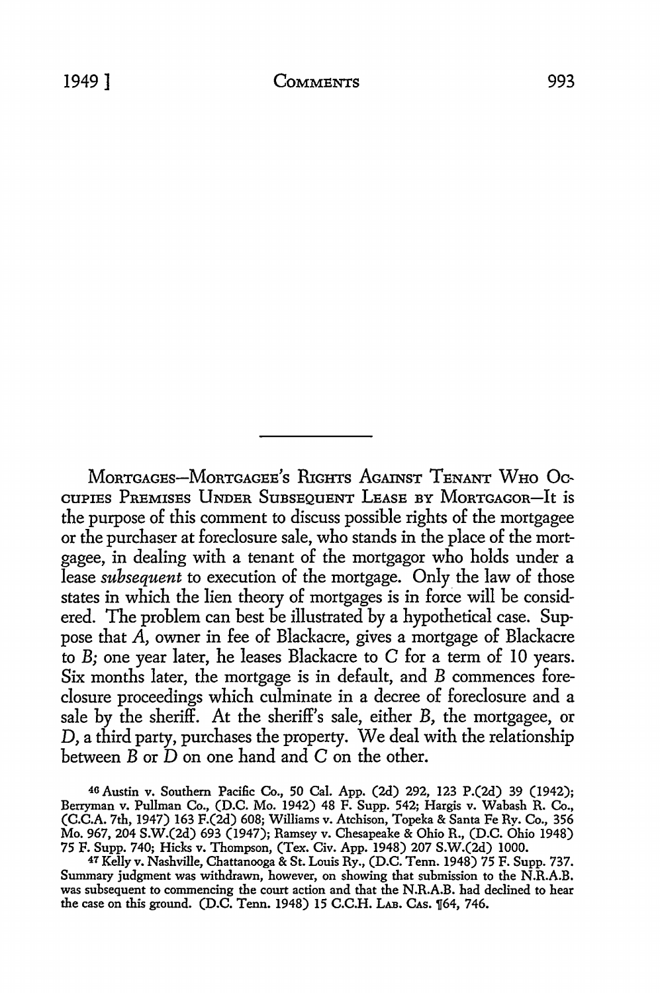MoRTGAGEs-MoRTGAGEE's RIGHTS AGAINST TENANT WHo Occupies Premises Under Subsequent Lease by Mortgagor-It is the purpose of this comment to discuss possible rights of the mortgagee or the purchaser at foreclosure sale, who stands in the place of the mortgagee, in dealing with a tenant of the mortgagor who holds under a lease *subsequent* to execution of the mortgage. Only the law of those states in which the lien theory of mortgages is in force will be considered. The problem can best be illustrated by a hypothetical case. Suppose that A, owner in fee of Blackacre, gives a mortgage of Blackacre to *B;* one year later, he leases Blackacre to C for a term of IO years. Six months later, the mortgage is in default, and B commences foreclosure proceedings which culminate in a decree of foreclosure and a sale by the sheriff. At the sheriff's sale, either B, the mortgagee, or D, a third party, purchases the property. We deal with the relationship between  $\overrightarrow{B}$  or  $\overrightarrow{D}$  on one hand and  $\overrightarrow{C}$  on the other.

46 Austin v. Southern Pacific Co., 50 Cal. App. (2d) 292, 123 P.(2d) 39 (1942); Berryman v. Pullman Co., (D.C. Mo. 1942) 48 F. Supp. 542; Hargis v. Wabash R. Co., (C.C.A. 7th, 1947) 163 F.(2d) 608; Williams v. Atchison, Topeka & Santa Fe Ry. Co., 356 Mo. 967, 204 S.W.(2d) 693 (1947); Ramsey v. Chesapeake & Ohio R., (D.C. Ohio 1948) 75 F. Supp. 740; Hicks v. Thompson, (Tex. Civ. App. 1948) 207 S.W.(2d) 1000.

*41* Kelly v. Nashville, Chattanooga & St. Louis Ry., (D.C. Tenn. 1948) 75 F. Supp. 737. Summary judgment was withdrawn, however, on showing that submission to the N.R.A.B. was subsequent to commencing the court action and that the N.R.A.B. had declined to hear the case on this ground. (D.C. Tenn. 1948) 15 C.C.H. LAB. CAs. 164, 746.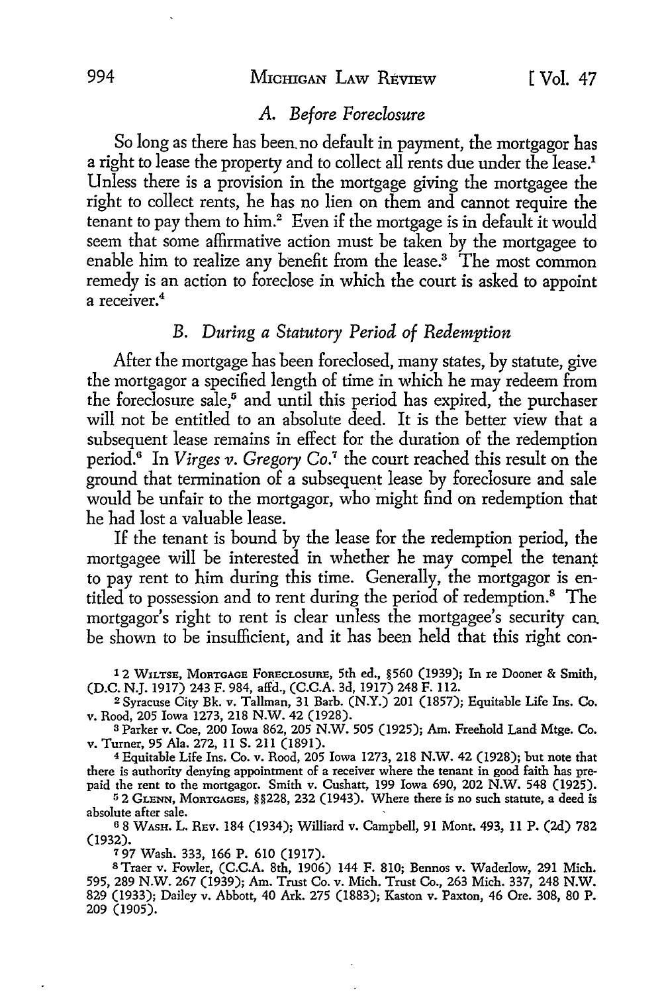#### 994 MICHIGAN LAW RÉVIEW [ Vol. 47

# *A. Before Foreclosure*

So long as there has been. no default in payment, the mortgagor has a right to lease the property and to collect all rents due under the lease.<sup>1</sup> Unless there is a provision in the mortgage giving the mortgagee the right to collect rents, he has no lien on them and cannot require the tenant to pay them to him.<sup>2</sup> Even if the mortgage is in default it would seem that some affirmative action must be taken by the mortgagee to enable him to realize any benefit from the lease.<sup>3</sup> The most common remedy is an action to foreclose in which the court is asked to appoint a receiver.<sup>4</sup>

# B. *During a Statutory Period of Redemption*

After the mortgage has been foreclosed, many states, by statute, give the mortgagor a specified length of time in which he may redeem from the foreclosure sale,<sup>5</sup> and until this period has expired, the purchaser will not be entitled to an absolute deed. It is the better view that a subsequent lease remains in effect for the duration of the redemption period.0 In *Virges v. Gregory* Co.7 the court reached this result on the ground that termination of a subsequent lease by foreclosure and sale would be unfair to the mortgagor, who might find on redemption that he had lost a valuable lease.

If the tenant is bound by the lease for the redemption period, the mortgagee will be interested in whether he may compel the tenant to pay rent to him during this time. Generally, the mortgagor is entitled to possession and to rent during the period of redemption.<sup>8</sup> The mortgagor's right to rent is clear unless the mortgagee's security can be shown to be insufficient, and it has been held that this right con-

1 2 WILTSE, MoRTGAGE FoRECLosuRE, 5th ed., §560 (1939); In re Dooner & Smith, (D.C. N.J. 1917) 243 F. 984, a!fd., (C.C.A. 3d, 1917) 248 F. 112.

<sup>2</sup>Syracuse City Bk. v. Tallman, 31 Barb. (N.Y.) 201 (1857); Equitable Life Ins. Co. v. Rood, 205 Iowa 1273, 218 N.W. 42 (1928).

<sup>3</sup>Parker v. Coe, 200 Iowa 862, 205 N.W. 505 (1925); Am. Freehold Land Mtge. Co. v. Turner, 95 Ala. 272, II S. 211 (1891).

<sup>4</sup>Equitable Life Ins. Co. v. Rood, 205 Iowa 1273, 218 **N.W.** 42 (1928); but note that there is authority denying appointment of a receiver where the tenant in good faith has prepaid the rent to the mortgagor. Smith v. Cushatt, 199 Iowa 690, 202 N.W. 548 (1925).

<sup>5</sup>2 GLENN, MoRTGAGEs, §§228, 232 (1943). Where there is no such statute, a deed is absolute after sale.

<sup>6</sup>8 WAsH. L. REv. 184 (1934); Williard v. Campbell, 91 Mont. 493, 11 P. (2d) 782 (1932).

<sup>7</sup>97 Wash. 333, 166 P. 610 (1917).

STraer v. Fowler, (C.C.A. 8th, 1906) 144 F. 810; Bennes v. Waderlow, 291 Mich. 595, 289 N.W. 267 (1939); Am. Trust Co. v. Mich. Trust Co., 263 Mich. 337, 248 N.W. 829 (1933); Dailey v. Abbott, 40 Ark. 275 (1883); Kasten v. Paxton, 46 Ore. 308, 80 P. 209 (1905).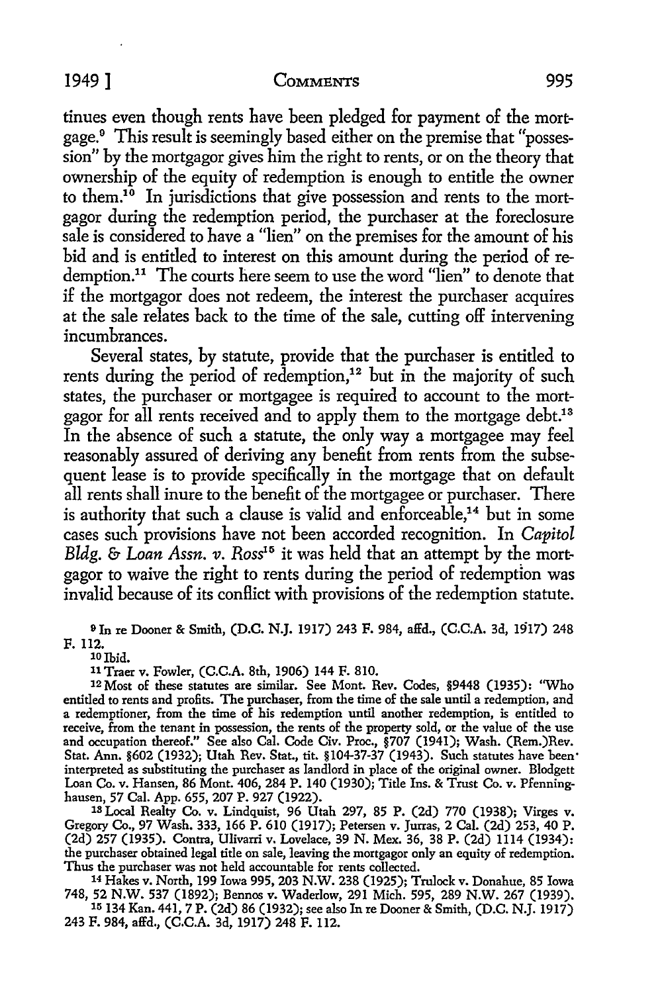tinues even though rents have been pledged for payment of the mortgage. 0 This result is seemingly based either on the premise that "possession" by the mortgagor gives him the right to rents, or on the theory that ownership of the equity of redemption is enough to entitle the owner to them.10 In jurisdictions that give possession and rents to the mortgagor during the redemption period, the purchaser at the foreclosure sale is considered to have a "lien" on the premises for the amount of his bid and is entitled to interest on this amount during the period of redemption.11 The courts here seem to use the word "lien" to denote that if the mortgagor does not redeem, the interest the purchaser acquires at the sale relates back to the time of the sale, cutting off intervening incumbrances.

Several states, by statute, provide that the purchaser is entitled to rents during the period of redemption,<sup>12</sup> but in the majority of such states, the purchaser or mortgagee is required to account to the mortgagor for all rents received and to apply them to the mortgage debt.<sup>13</sup> In the absence of such a statute, the only way a mortgagee may feel reasonably assured of deriving any benefit from rents from the subsequent lease is to provide specifically in the mortgage that on default all rents shall inure to the benefit of the mortgagee or purchaser. There is authority that such a clause is valid and enforceable, $14$  but in some cases such provisions have not been accorded recognition. In *Capitol Bldg. & Loan Assn. v. Ross<sup>15</sup>* it was held that an attempt by the mortgagor to waive the right to rents during the period of redemption was invalid because of its conflict with provisions of the redemption statute.

om re Dooner & Smith, (D.C. N.J. 1917) 243 F. 984, affd., (C.C.A. 3d, 1917) 248 F. 112.

 $10$  Ibid.

11 Traer v. Fowler, (C.C.A. 8th, 1906) 144 F. 810.

12 Most of these statutes are similar. See Mont. Rev. Codes, §9448 (1935): ''Who entitled to rents and profits. The purchaser, from the time of the sale until a redemption, and a redemptioner, from the time of his redemption until another redemption, is entitled to receive, from the tenant in possession, the rents of the property sold, or the value of the use and occupation thereof." See also Cal. Code Civ. Proc., §707 (1941); Wash. (Rem.)Rev. Stat. Ann. §602 (1932); Utah Rev. Stat., tit. §104-37-37 (1943). Such statutes have been· interpreted as substituting the purchaser as landlord in place of the original owner. Blodgett Loan Co. v. Hansen, 86 Mont. 406, 284 P. 140 (1930); Title Ins. & Trust Co. v. Pfenninghausen, 57 Cal. App. 655, 207 P. 927 (1922).

1s Local Realty Co. v. Lindquist, 96 Utah 297, 85 P. (2d) 770 (1938); Virges v. Gregory Co., 97 Wash. 333, 166 P. 610 (1917); Petersen v. Jurras, 2 Cal. (2d) 253, 40 P. (2d) 257 (1935). Contra, Ulivarri v. Lovelace, 39 N. Mex. 36, 38 P. (2d) 1114 (1934): the purchaser obtained legal title on sale, leaving the mortgagor only an equity of redemption. Thus the purchaser was not held accountable for rents collected.

<sup>14</sup>Hakes v. North, 199 Iowa 995, 203 N.W. 238 (1925); Trulock v. Donahue, 85 Iowa 748, 52 N.W. 537 (1892); Bennos v. Waderlow, 291 Mich. 595, 289 N.W. 267 (1939). 15 134Kan. 441, 7 P. (2d) 86 (1932); see also In re Dooner & Smith, (D.C. N.J. 1917)

243 F. 984, affd., (C.C.A. 3d, 1917) 248 F. 112.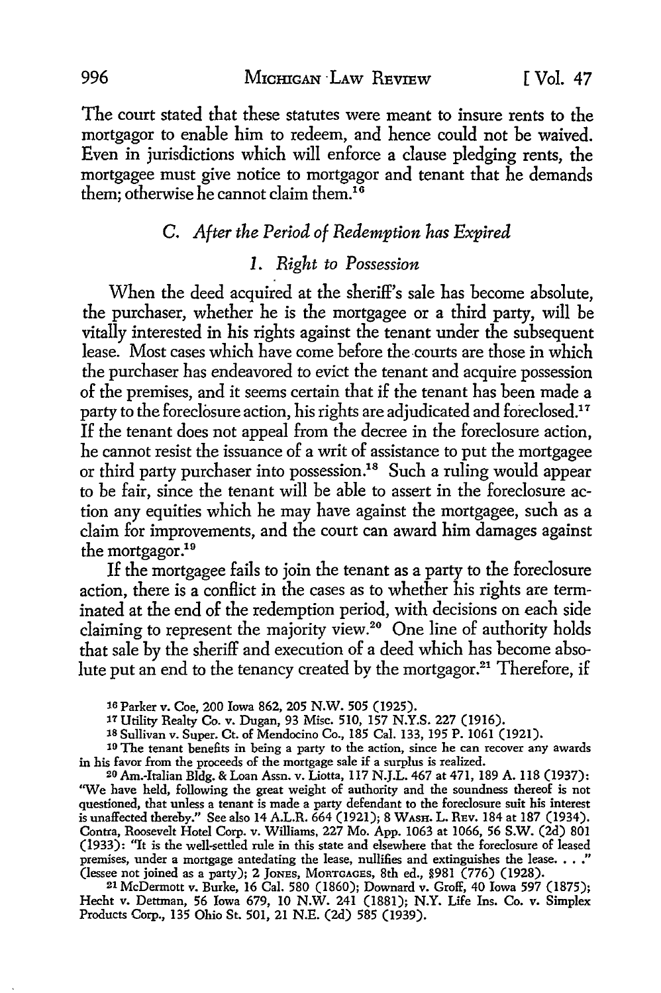The court stated that these statutes were meant to insure rents to the mortgagor *to* enable him to redeem, and hence could not be waived. Even in jurisdictions which will enforce a clause pledging rents, the mortgagee must give notice to mortgagor and tenant that he demands them; otherwise he cannot claim them.<sup>16</sup>

# C. *After the Period of Redemption has Expired*

# *1. Right to Possession*

When the deed acquired at the sheriff's sale has become absolute, the purchaser, whether he is the mortgagee or a third party, will be vitally interested in his rights against the tenant under the subsequent lease. Most cases which have come before the courts are those in which the purchaser has endeavored to evict the tenant and acquire possession of the premises, and it seems certain that if the tenant has been made a party to the foreclosure action, his rights are adjudicated and foreclosed.<sup>17</sup> If the tenant does not appeal from the decree in the foreclosure action, he cannot resist the issuance of a writ of assistance to put the mortgagee or third party purchaser into possession.18 Such a ruling would appear to be fair, since the tenant will be able to assert in the foreclosure action any equities which he may have against the mortgagee, such as a claim for improvements, and the court can award him damages against the mortgagor.<sup>19</sup>

If the mortgagee fails to join the tenant as a party to the foreclosure action, there is a conflict in the cases as to whether his rights are terminated at the end of the redemption period, with decisions on each side claiming to represent the majority view.<sup>20</sup> One line of authority holds that sale by the sheriff and execution of a deed which has become absolute put an end to the tenancy created by the mortgagor.<sup>21</sup> Therefore, if

2l McDermott v. Burke, 16 Cal. 580 (1860); Downard v. Groff, 40 Iowa 597 (1875); Hecht v. Dettman, 56 Iowa 679, IO **N.W.** 241 (1881); **N.Y.** Life Ins. Co. v. Simplex Products Corp., 135 Ohio St. 501, 21 N.E. (2d) 585 (1939).

<sup>16</sup> Parker v. Coe, 200 Iowa 862, 205 **N.W.** 505 (1925).

<sup>11</sup> Utility Realty Co. v. Dugan, 93 Misc. 510, 157 N.Y.S. 227 (1916).

<sup>18</sup> Sullivan v. Super. Ct. of Mendocino Co., 185 Cal. 133, 195 P. 1061 (1921).

<sup>&</sup>lt;sup>19</sup> The tenant benefits in being a party to the action, since he can recover any awards in his favor from the proceeds of the mortgage sale if a surplus is realized.

<sup>20</sup> Am.-Italian Bldg. & Loan Assn. v. Liotta, 117 N.J.L. 467 at 471, 189 A. 118 (1937): "We have held, following the great weight of authority and the soundness thereof is not questioned, that unless a tenant is made a party defendant to the foreclosure suit his interest is unaffected thereby." See also 14A.L.R. 664 (1921); 8 WASH. L. REv. 184 at 187 (1934). Contra, Roosevelt Hotel Corp. v. Williams, 227 Mo. App. 1063 at 1066, 56 S.W. (2d) 801 (1933): "It is the well-settled rule in this state and elsewhere that the foreclosure of leased premises, under a mortgage antedating the lease, nullifies and extinguishes the lease.  $\ldots$ ." (lessee not joined as a party); 2 JoNES, MoRTGAGEs, 8th ed., §981 (776) (1928).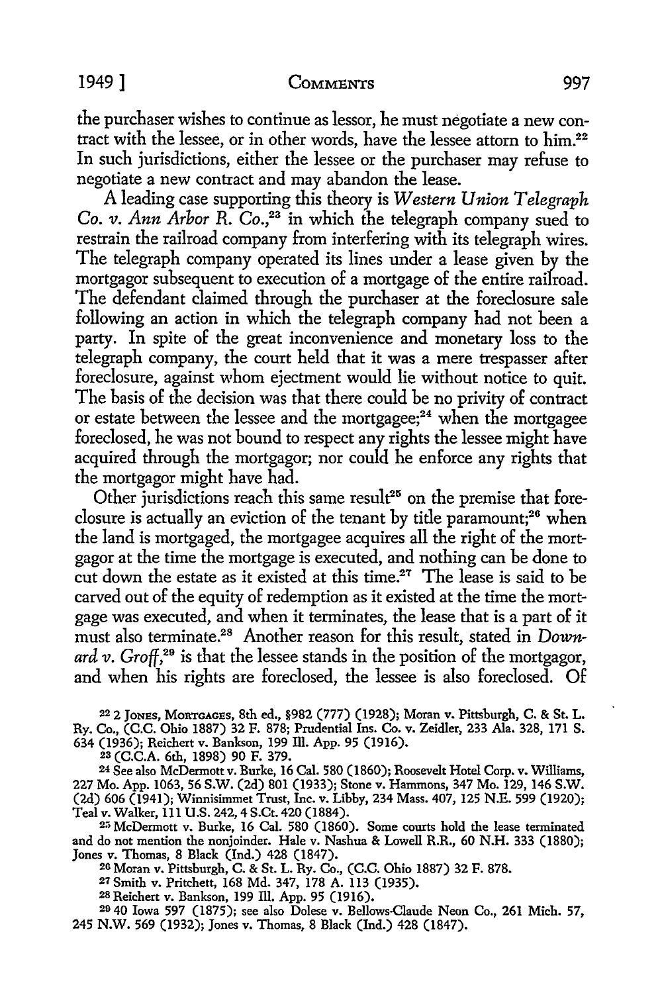the purchaser wishes to continue as lessor, he must negotiate a new contract with the lessee, or in other words, have the lessee attom to him.<sup>22</sup> In such jurisdictions, either the lessee or the purchaser may refuse to negotiate a new contract and may abandon the lease.

A leading case supporting this theory is *Western Union Telegraph Co. v. Ann Arbor R. Co.*<sup>23</sup> in which the telegraph company sued to restrain the railroad company from interfering with its telegraph wires. The telegraph company operated its lines under a lease given by the mortgagor subsequent to execution of a mortgage of the entire railroad. The defendant claimed through the purchaser at the foreclosure sale following an action in which the telegraph company had not been a party. In spite of the great inconvenience and monetary loss to the telegraph company, the court held that it was a mere trespasser after foreclosure, against whom ejectment would lie without notice to quit. The basis of the decision was that there could be no privity of contract or estate between the lessee and the mortgagee; $24$  when the mortgagee foreclosed, he was not bound to respect any rights the lessee might have acquired through the mortgagor; nor could he enforce any rights that the mortgagor might have had.

Other jurisdictions reach this same result<sup>25</sup> on the premise that foreclosure is actually an eviction of the tenant by title paramount;<sup>26</sup> when the land is mortgaged, the mortgagee acquires all the right of the mortgagor at the time the mortgage is executed, and nothing can be done to cut down the estate as it existed at this time.<sup>27</sup> The lease is said to be carved out of the equity of redemption as it existed at the time the mortgage was executed, and when it terminates, the lease that is a part of it must also terminate.28 Another reason for this result, stated in *Downard v. Groff,29* is that the lessee stands in the position of the mortgagor, and when his rights are foreclosed, the lessee is also foreclosed. Of

<sup>22</sup>2 JONES, MoRTGAGEs, 8th ed., §982 (777) (1928); Moran v. Pittsburgh, C. & St. L. Ry. Co., (C.C. Ohio 1887) 32 F. 878; Prudential Ins. Co. v. Zeidler, 233 Ala. 328, 171 S. 634 (1936); Reichert v. Bankson, 199 Ill. App. 95 (1916).

2a (C.C.A. 6th, 1898) 90 F. 379.

24 See also McDermott v. Burke, 16 Cal. 580 (1860); Roosevelt Hotel Corp. v. Williams, 227 Mo. App. 1063, 56 S.W. (2d) 801 (1933); Stone v. Hammons, 347 Mo. 129, 146 S.W. (2d) 606 (1941); Winnisimmet Trust, Inc. v. Libby, 234 Mass. 407, 125 N.E. 599 (1920); Teal v. Walker, 111 U.S. 242, 4 S.Ct. 420 (1884).

2;; McDermott v. Burke, 16 Cal. 580 (1860). Some courts hold the lease terminated and do not mention the nonjoinder. Hale v. Nashua & Lowell R.R., 60 N.H. 333 (1880); Jones v. Thomas, 8 Black (Ind.) 428 (1847).

20 Moran v. Pittsburgh, C. & St. L. Ry. Co., (C.C. Ohio 1887) 32 F. 878.

27Smith v. Pritchett, 168 Md. 347, 178 A. 113 (1935).

28 Reichert v. Bankson, 199 Ill. App. 95 (1916).

20 40 Iowa 597 (1875); see also Dolese v. Bellows.Claude Neon Co., 261 Mich. 57, 245 N.W. 569 (1932); Jones v. Thomas, 8 Black (Ind.) 428 (1847).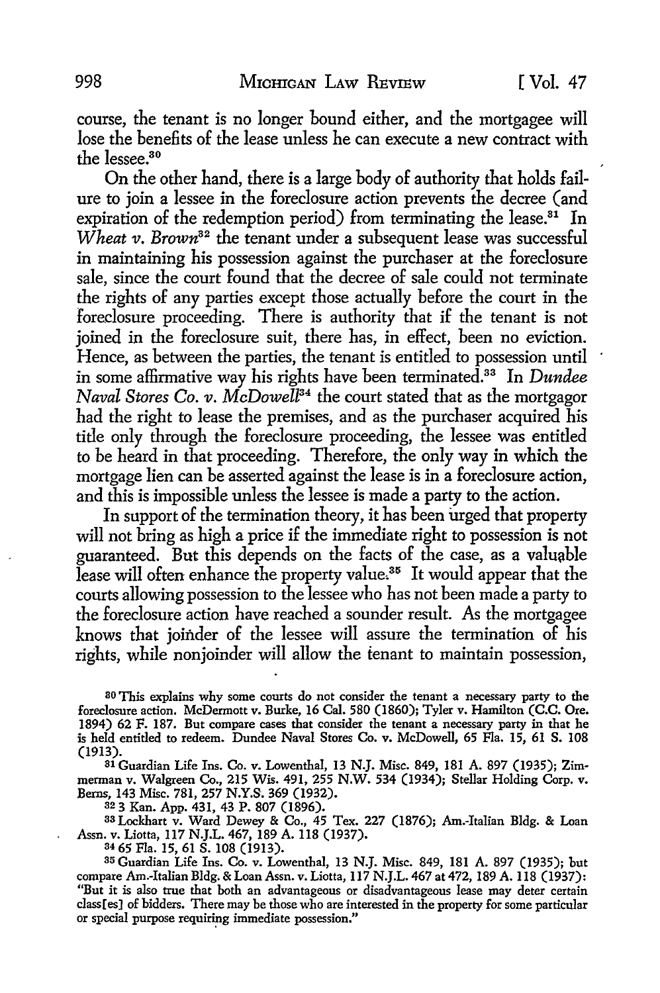course, the tenant is no longer bound either, and the mortgagee will lose the benefits of the lease unless he can execute a new contract with the lessee.<sup>30</sup>

On the other hand, there is a large body of authority that holds failure to join a lessee in the foreclosure action prevents the decree (and expiration of the redemption period) from terminating the lease.<sup>31</sup> In *Wheat v. Brown82* the tenant under a subsequent lease was successful in maintaining his possession against the purchaser at the foreclosure sale, since the court found that the decree of sale could not terminate the rights of any parties except those actually before the court in the foreclosure proceeding. There is authority that if the tenant is not joined in the foreclosure suit, there has, in effect, been no eviction. Hence, as between the parties, the tenant is entitled to possession until in some affirmative way his rights have been terminated.33 In *Dundee Naval Stores Co. v. McDowell84* the court stated that as the mortgagor had the right to lease the premises, and as the purchaser acquired his title only through the foreclosure proceeding, the lessee was entitled to be heard in that proceeding. Therefore, the only way in which the mortgage lien can be asserted against the lease is in a foreclosure action, and this is impossible unless the lessee is made a party to the action.

In support of the termination theory, it has been urged that property will not bring as high a price if the immediate right to possession is not guaranteed. But this depends on the facts of the case, as a valuable lease will often enhance the property value.<sup>35</sup> It would appear that the courts allowing possession to the lessee who has not been made a party to the foreclosure action have reached a sounder result. As the mortgagee knows that joinder of the lessee will assure the termination of his rights, while nonjoinder will allow the tenant to maintain possession,

ao This explains why some courts do not consider the tenant a necessary party to the foreclosure action. McDermott v. Burke, 16 Cal. 580 (1860); Tyler v. Hamilton (C.C. Ore. 1894) 62 F. 187. But compare cases that consider the tenant a necessary party in that he is held entitled to redeem. Dundee Naval Stores Co. v. McDowell, 65 Fla. 15, 61 S. 108 (1913).

31 Guardian Life Ins. Co. v. Lowenthal, 13 N.J. Misc. 849, 181 A. 897 (1935); Zimmerman v. Walgreen Co., 215 Wis. 491, 255 N.W. 534 (1934); Stellar Holding Corp. v. Berns, 143 Misc. 781, 257 N.Y.S. 369 (1932).

32 3 Kan. App. 431, 43 P. 807 (1896).

33 Lockhart v. Ward Dewey & Co., 45 Tex. 227 (1876); Am.-Italian Bldg. & Loan Assn. v. Liotta, 117 N.J.L. 467, 189 A. 118 (1937).

<sup>34</sup> 65 Fla. 15, 61 S. 108 (1913).<br><sup>35</sup> Guardian Life Ins. Co. v. Lowenthal, 13 N.J. Misc. 849, 181 A. 897 (1935); but compare Am.-Italian Bldg. & Loan Assn. v. Liotta, 117 N.J.L. 467 at 472, 189 A. 118 (1937): "But it is also true that both an advantageous or disadvantageous lease may deter certain class[es] of bidders. There may be those who are interested in the property for some particular or special purpose requiring immediate possession."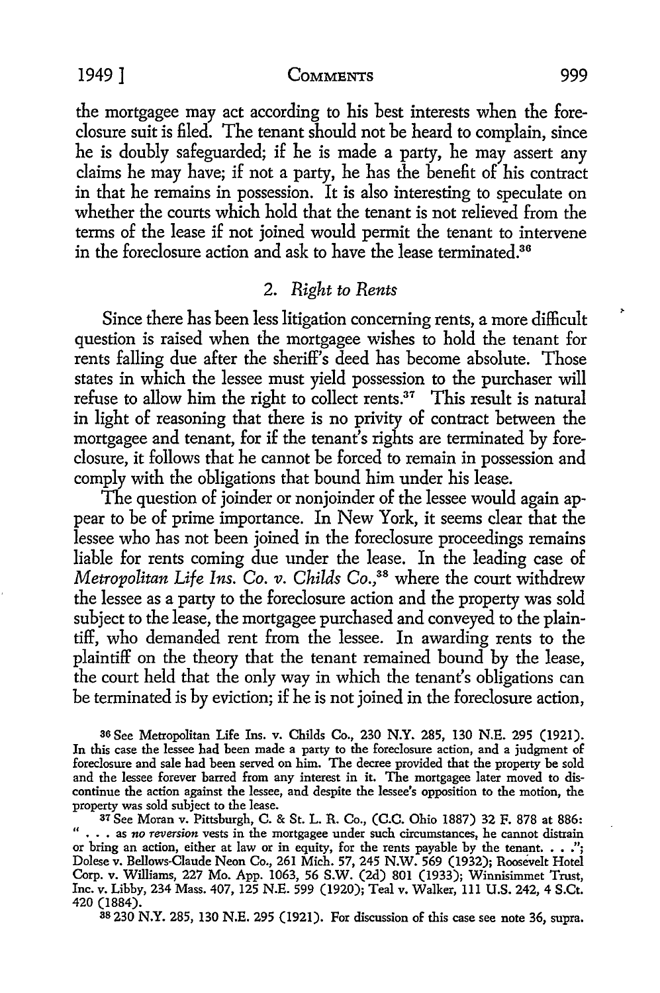the mortgagee may act according *to* his best interests when the foreclosure suit is filed. The tenant should not be heard *to* complain, since he is doubly safeguarded; if he is made a party, he may assert any claims he may have; if not a party, he has the benefit of his contract in that he remains in possession. It is also interesting *to* speculate on whether the courts which hold that the tenant is not relieved from the terms of the lease if not joined would permit the tenant *to* intervene in the foreclosure action and ask *to* have the lease terrninated.<sup>36</sup>

# 2. *Right to Rents*

Since there has been less litigation concerning rents, a more difficult question is raised when the mortgagee wishes *to* hold the tenant for rents falling due after the sheriff's deed has become absolute. Those states in which the lessee must yield possession *to* the purchaser will refuse *to* allow him the right *to* collect rents.37 This result is natural in light of reasoning that there is no privity of contract between the mortgagee and tenant, for if the tenant's rights are terminated by foreclosure, it follows that he cannot be forced to remain in possession and comply with the obligations that bound him under his lease.

The question of joinder or nonjoinder of the lessee would again appear *to* be of prime importance. In New York, it seems clear that the lessee who has not been joined in the foreclosure proceedings remains liable for rents coming due under the lease. In the leading case of *Metropolitan Life Ins. Co. v. Childs Co.*<sup>38</sup> where the court withdrew the lessee as a party *to* the foreclosure action and the property was sold subject *to* the lease, the mortgagee purchased and conveyed *to* the plaintiff, who demanded rent from the lessee. In awarding rents *to* the plaintiff on the theory that the tenant remained bound by the lease, the court held that the only way in which the tenant's obligations can be terminated is by eviction; if he is not joined in the foreclosure action,

ao See Metropolitan Life Ins. v. Childs Co., 230 **N.Y.** 285, 130 N.E. 295 (1921). In this case the lessee had been made a party to the foreclosure action, and a judgment of foreclosure and sale had been served on him. The decree provided that the property be sold and the lessee forever barred from any interest in it. The mortgagee later moved to discontinue the action against the lessee, and despite the lessee's opposition to the motion, the property was sold subject to the lease.

37 See Moran v. Pittsburgh, C. & St. L. R. Co., (C.C. Ohio 1887) 32 F. 878 at 886: " • . • as *no reversion* vests in the mortgagee under such circumstances, he cannot distrain or bring an action, either at law or in equity, for the rents payable by the tenant.  $\ldots$ ,"; Dolese v. Bellows-Claude Neon Co., 261 Mich. 57, 245 N.W. 569 (1932); Roosevelt Hotel Corp. v. Williams, 227 Mo. App. 1063, 56 S.W. (2d) 801 (1933); Winnisimmet Trust, Inc. v. Libby, 234 Mass. 407, 125 N.E. 599 (1920); Teal v. Walker, Ill U.S. 242, 4 S.Ct. 420 (1884).

38 230 N.Y. 285, 130 N.E. 295 (1921). For discussion of this case see note 36, supra.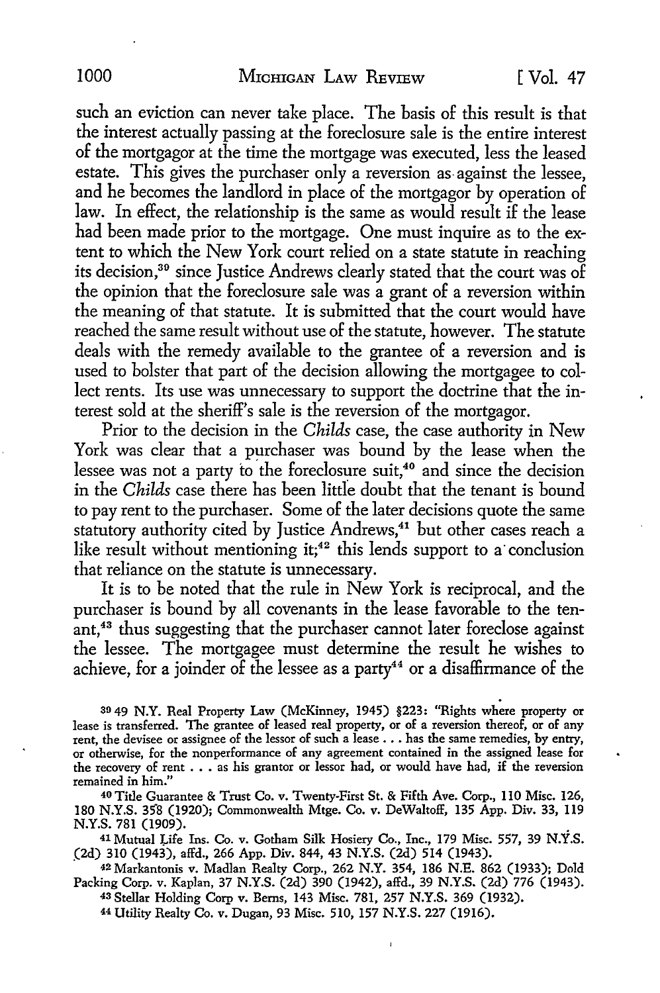such an eviction can never take place. The basis of this result is that the interest actually passing at the foreclosure sale is the entire interest of the mortgagor at the time the mortgage was executed, less the leased estate. This gives the purchaser only a reversion as- against the lessee, and he becomes the landlord in place of the mortgagor by operation of law. In effect, the relationship is the same as would result if the lease had been made prior to the mortgage. One must inquire as to the extent to which the New York court relied on a state statute in reaching its decision,<sup>39</sup> since Justice Andrews clearly stated that the court was of the opinion that the foreclosure sale was a grant of a reversion within the meaning of that statute. It is submitted that the court would have reached the same result without use of the statute, however. The statute deals with the remedy available to the grantee of a reversion and is used to bolster that part of the decision allowing the mortgagee to collect rents. Its use was unnecessary to support the doctrine that the interest sold at the sheriff's sale is the reversion of the mortgagor.

Prior to the decision in the *Childs* case, the case authority in New York was clear that a purchaser was bound by the lease when the lessee was not a party to the foreclosure suit,<sup>40</sup> and since the decision in the *Childs* case there has been little doubt that the tenant is bound to pay rent to the purchaser. Some of the later decisions quote the same statutory authority cited by Justice Andrews,<sup>41</sup> but other cases reach a like result without mentioning it;<sup>42</sup> this lends support to a conclusion that reliance on the statute is unnecessary.

It is to be noted that the rule in New York is reciprocal, and the purchaser is bound by all covenants in the lease favorable to the tenant,<sup>43</sup> thus suggesting that the purchaser cannot later foreclose against the lessee. The mortgagee must determine the result he wishes to achieve, for a joinder of the lessee as a party<sup>44</sup> or a disaffirmance of the

39 49 N.Y. Real Property Law (McKinney, 1945) §223: "Rights where property or lease is transferred. The grantee of leased real property, or of a reversion thereof, or of any rent, the devisee or assignee of the lessor of such a lease .•. has the same remedies, by entry, or otherwise, for the nonperformance of any agreement contained in the assigned lease for the recovery of rent  $\ldots$  as his grantor or lessor had, or would have had, if the reversion remained in him."

40 Title Guarantee & Trust Co. v. Twenty-First St. & Fifth Ave. Corp., II0 Misc. 126, 180 N.Y.S. 358 (1920); Commonwealth Mtge. Co. v. DeWaltoff, 135 App. Div. 33, 119 N.Y.S. 781 (1909).

<sup>41</sup> Mutual Life Ins. Co. v. Gotham Silk Hosiery Co., Inc., 179 Misc. 557, 39 N.Y.S. (2d) 310 (1943), affd., 266 App. Div. 844, 43 N.Y.S. (2d) 514 (1943).

. 42 Markantonis v. Madlan Realty Corp., 262 N.Y. 354, 186 N.E. 862 (1933); Dold Packing Corp. v. Kaplan, 37 N.Y.S. (2d) 390 (1942), affd., 39 N.Y.S. (2d) 776 (1943).

43 Stellar Holding Corp v. Berns, 143 Misc. 781, 257 N.Y.S. 369 (1932). 44 Utility Realty Co. v. Dugan, 93 Misc. 510, 157 N.Y.S. 227 (1916).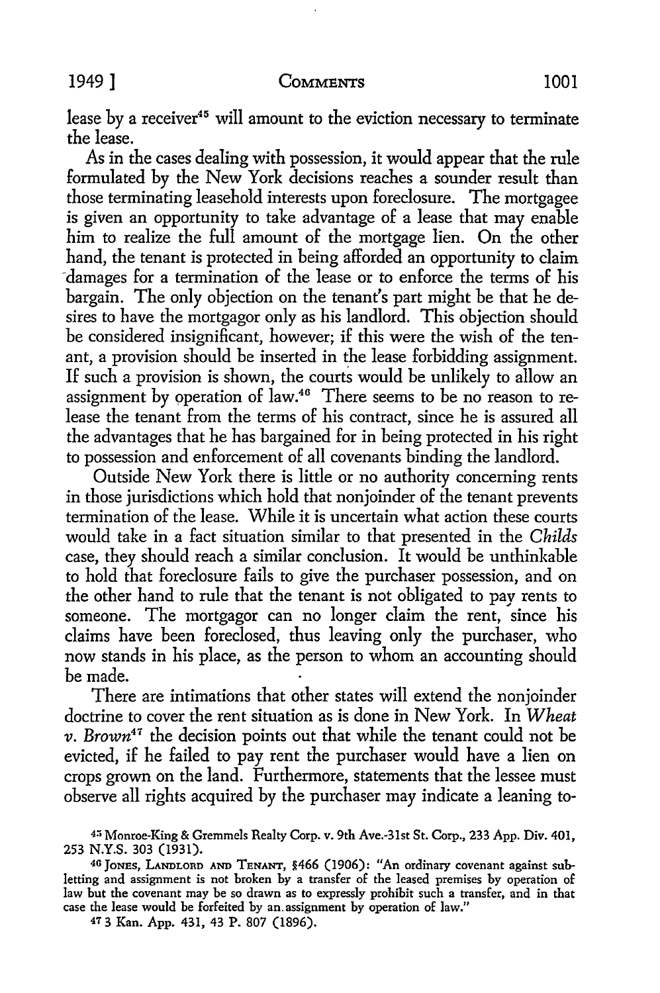lease by a receiver<sup>45</sup> will amount to the eviction necessary to terminate the lease.

As in the cases dealing with possession, it would appear that the rule formulated by the New York decisions reaches a sounder result than those terminating leasehold interests upon foreclosure. The mortgagee is given an opportunity to take advantage of a lease that may enable him to realize the full amount of the mortgage lien. On the other hand, the tenant is protected in being afforded an opportunity to claim -damages for a termination of the lease or to enforce the terms of his bargain. The only objection on the tenant's part might be that he desires to have the mortgagor only as his landlord. This objection should be considered insignificant, however; if this were the wish of the tenant, a provision should be inserted in the lease forbidding assignment. If such a provision is shown, the courts would be unlikely to allow an assignment by operation of law.<sup>46</sup> There seems to be no reason to release the tenant from the terms of his contract, since he is assured all the advantages that he has bargained for in being protected in his right to possession and enforcement of all covenants binding the landlord.

Outside New York there is little or no authority concerning rents in those jurisdictions which hold that nonjoinder of the tenant prevents termination of the lease. While it is uncertain what action these courts would take in a fact situation similar to that presented in the *Childs*  case, they should reach a similar conclusion. It would be unthinkable to hold that foreclosure fails to give the purchaser possession, and on the other hand to rule that the tenant is not obligated to pay rents to someone. The mortgagor can no longer claim the rent, since his claims have been foreclosed, thus leaving only the purchaser, who now stands in his place, as the person to whom an accounting should be made.

There are intimations that other states will extend the nonjoinder doctrine to cover the rent situation as is done in New York. In *Wheat v. Brown41* the decision points out that while the tenant could not be evicted, if he failed to pay rent the purchaser would have a lien on crops grown on the land. Furthermore, statements that the lessee must observe all rights acquired by the purchaser may indicate a leaning to-

47 3 Kan. App. 431, 43 **P.** 807 (1896).

<sup>4:;</sup> Monroe-King & Gremmels Realty Corp. v. 9th Ave.-3lst St. Corp., 233 App. Div. 401, 253 N.Y.S. 303 (1931).

<sup>40</sup> JoNES, LANDLORD AND TENANT, §466 (1906): "An ordinary covenant against subletting and assignment is not broken by a transfer of the leased premises by operation of law but the covenant may be so drawn as to expressly prohibit such a transfer, and in that case the lease would be forfeited by an.assignment by operation of law.''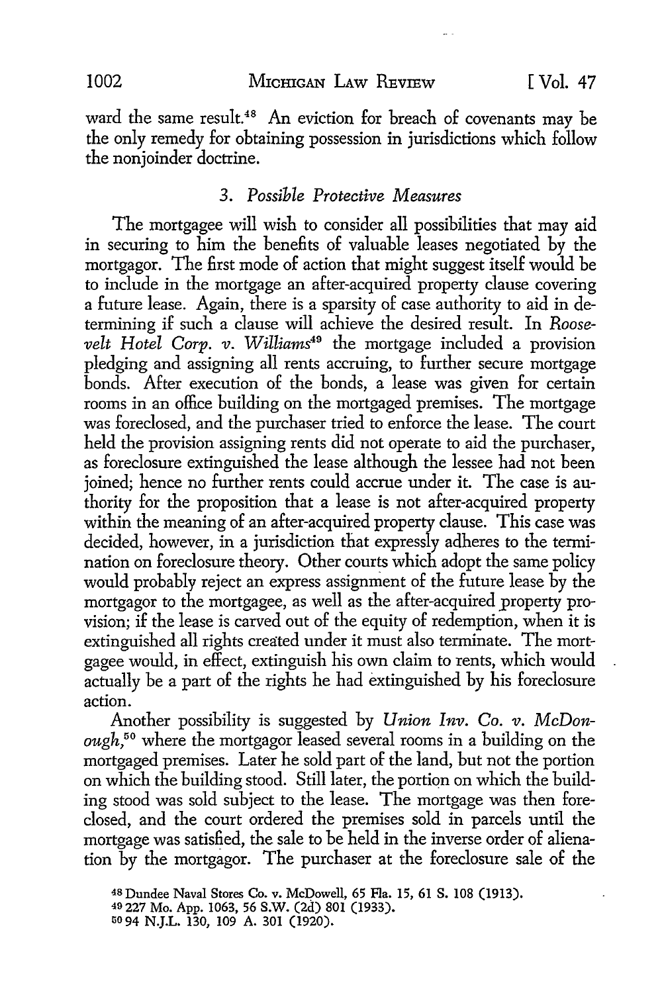ward the same result.<sup>48</sup> An eviction for breach of covenants may be the only remedy for obtaining possession in jurisdictions which follow the nonjoinder doctrine.

#### 3. *Possible Protective Measures*

The mortgagee will wish to consider all possibilities that may aid in securing to him the benefits of valuable leases negotiated by the mortgagor. The first mode of action that might suggest itself would be to include in the mortgage an after-acquired property clause covering a future lease. Again, there is a sparsity of case authority to aid in determining if such a clause will achieve the desired result. In *Roosevelt Hotel Corp. v. Williams49* the mortgage included a provision pledging and assigning all rents accruing, to further secure mortgage bonds. After execution of the bonds, a lease was given for certain rooms in an office building on the mortgaged premises. The mortgage was foreclosed, and the purchaser tried to enforce the lease. The court held the provision assigning rents did not operate to aid the purchaser, as foreclosure extinguished the lease although the lessee had not been joined; hence no further rents could accrue under it. The case is authority for the proposition that a lease is not after-acquired property within the meaning of an after-acquired property clause. This case was decided, however, in a jurisdiction that expressly adheres to the termination on foreclosure theory. Other courts which adopt the same policy would probably reject an express assignment of the future lease by the mortgagor to the mortgagee, as well as the after-acquired \_property provision; if the lease is carved out of the equity of redemption, when it is extinguished all rights created under it must also terminate. The mortgagee would, in effect, extinguish his own claim to rents, which would actually be a part of the rights he had extinguished by his foreclosure action.

Another possibility is suggested by *Union Inv. Co. v. McDonough,50* where the mortgagor leased several rooms in a building on the mortgaged premises. Later he sold part of the land, but not the portion on which the building stood. Still later, the portion on which the building stood was sold subject to the lease. The mortgage was then foreclosed, and the court ordered the premises sold in parcels until the mortgage was satisfied, the sale to be held in the inverse order of alienation by the mortgagor. The purchaser at the foreclosure sale of the

<sup>48</sup>Dundee Naval Stores Co. v. McDowell, 65 Fla. 15, 61 S. 108 (1913). 40 227 Mo. App. 1063, 56 S.W. (2d) 801 (1933). uo 94 N.J.L. 130, 109 A. 301 (1920).